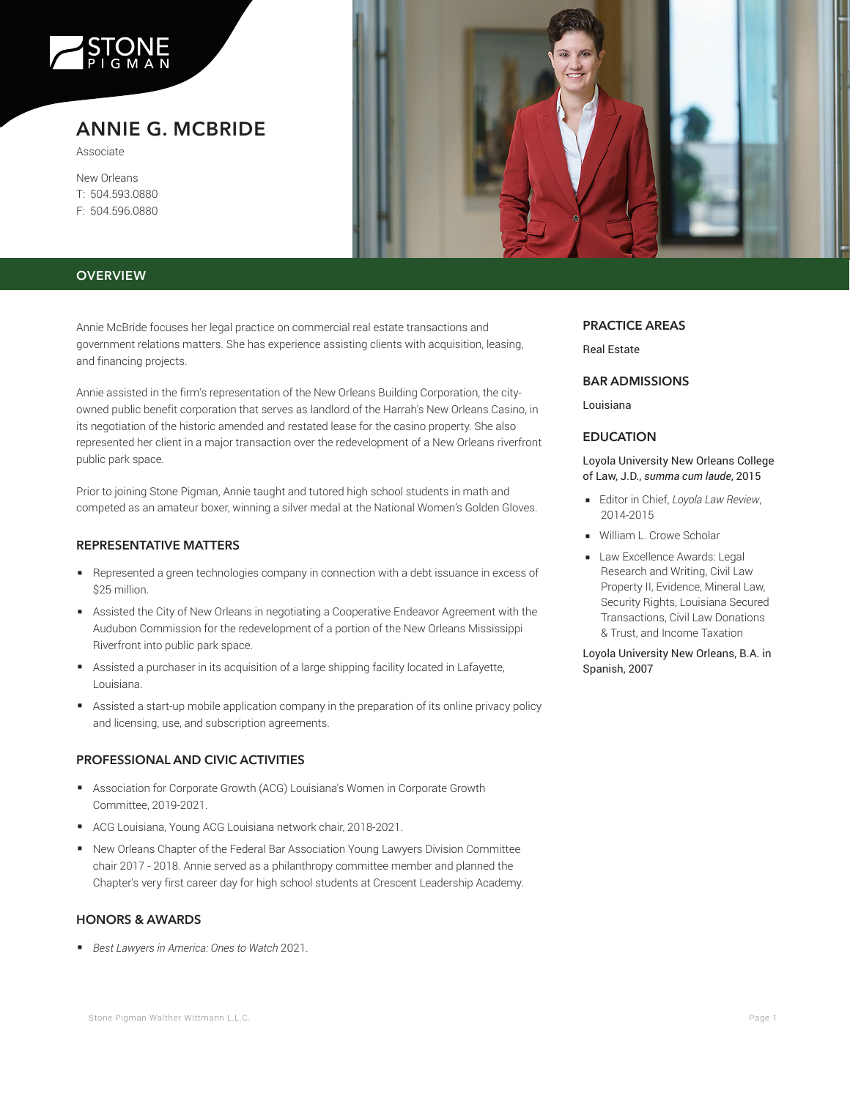

# **ANNIE G. MCBRIDE**

Associate

New Orleans T: 504.593.0880 F: 504.596.0880



## **OVERVIEW**

Annie McBride focuses her legal practice on commercial real estate transactions and government relations matters. She has experience assisting clients with acquisition, leasing, and financing projects.

Annie assisted in the firm's representation of the New Orleans Building Corporation, the cityowned public benefit corporation that serves as landlord of the Harrah's New Orleans Casino, in its negotiation of the historic amended and restated lease for the casino property. She also represented her client in a major transaction over the redevelopment of a New Orleans riverfront public park space.

Prior to joining Stone Pigman, Annie taught and tutored high school students in math and competed as an amateur boxer, winning a silver medal at the National Women's Golden Gloves.

## **REPRESENTATIVE MATTERS**

- Represented a green technologies company in connection with a debt issuance in excess of \$25 million.
- Assisted the City of New Orleans in negotiating a Cooperative Endeavor Agreement with the Audubon Commission for the redevelopment of a portion of the New Orleans Mississippi Riverfront into public park space.
- Assisted a purchaser in its acquisition of a large shipping facility located in Lafayette, Louisiana.
- Assisted a start-up mobile application company in the preparation of its online privacy policy and licensing, use, and subscription agreements.

## **PROFESSIONAL AND CIVIC ACTIVITIES**

- Association for Corporate Growth (ACG) Louisiana's Women in Corporate Growth Committee, 2019-2021.
- ACG Louisiana, Young ACG Louisiana network chair, 2018-2021.
- New Orleans Chapter of the Federal Bar Association Young Lawyers Division Committee chair 2017 - 2018. Annie served as a philanthropy committee member and planned the Chapter's very first career day for high school students at Crescent Leadership Academy.

#### **HONORS & AWARDS**

■ *Best Lawyers in America: Ones to Watch* 2021.

## **PRACTICE AREAS**

Real Estate

#### **BAR ADMISSIONS**

Louisiana

## **EDUCATION**

Loyola University New Orleans College of Law, J.D., *summa cum laude*, 2015

- Editor in Chief, *Loyola Law Review*, 2014-2015
- William L. Crowe Scholar
- Law Excellence Awards: Legal Research and Writing, Civil Law Property II, Evidence, Mineral Law, Security Rights, Louisiana Secured Transactions, Civil Law Donations & Trust, and Income Taxation

Loyola University New Orleans, B.A. in Spanish, 2007